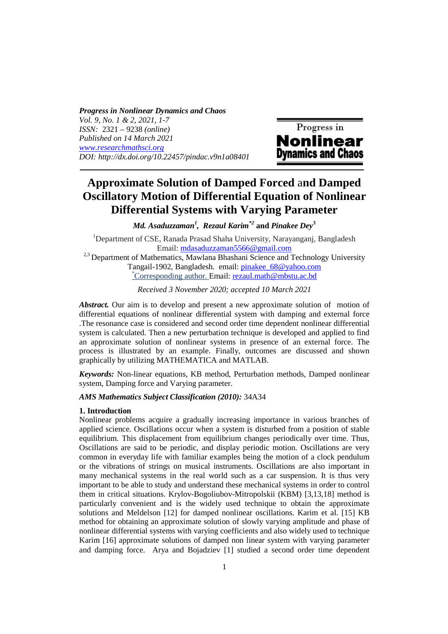*Progress in Nonlinear Dynamics and Chaos Vol. 9, No. 1 & 2, 2021, 1-7 ISSN:* 2321 – 9238 *(online) Published on 14 March 2021 www.researchmathsci.org DOI: http://dx.doi.org/10.22457/pindac.v9n1a08401*



# **Approximate Solution of Damped Forced** a**nd Damped Oscillatory Motion of Differential Equation of Nonlinear Differential Systems with Varying Parameter**

*Md. Asaduzzaman<sup>1</sup> , Rezaul Karim\*2* **and** *Pinakee Dey***<sup>3</sup>**

<sup>1</sup>Department of CSE, Ranada Prasad Shaha University, Narayanganj, Bangladesh Email: mdasaduzzaman5566@gmail.com <sup>2,3</sup> Department of Mathematics, Mawlana Bhashani Science and Technology University Tangail-1902, Bangladesh. email: pinakee\_68@yahoo.com \*Corresponding author. Email: rezaul.math@mbstu.ac.bd

*Received 3 November 2020; accepted 10 March 2021* 

*Abstract.* Our aim is to develop and present a new approximate solution of motion of differential equations of nonlinear differential system with damping and external force .The resonance case is considered and second order time dependent nonlinear differential system is calculated. Then a new perturbation technique is developed and applied to find an approximate solution of nonlinear systems in presence of an external force. The process is illustrated by an example. Finally, outcomes are discussed and shown graphically by utilizing MATHEMATICA and MATLAB.

*Keywords:* Non-linear equations, KB method, Perturbation methods, Damped nonlinear system, Damping force and Varying parameter.

#### *AMS Mathematics Subject Classification (2010):* 34A34

#### **1. Introduction**

Nonlinear problems acquire a gradually increasing importance in various branches of applied science. Oscillations occur when a system is disturbed from a position of stable equilibrium. This displacement from equilibrium changes periodically over time. Thus, Oscillations are said to be periodic, and display periodic motion. Oscillations are very common in everyday life with familiar examples being the motion of a clock pendulum or the vibrations of strings on musical instruments. Oscillations are also important in many mechanical systems in the real world such as a car suspension. It is thus very important to be able to study and understand these mechanical systems in order to control them in critical situations. Krylov-Bogoliubov-Mitropolskii (KBM) [3,13,18] method is particularly convenient and is the widely used technique to obtain the approximate solutions and Meldelson [12] for damped nonlinear oscillations. Karim et al. [15] KB method for obtaining an approximate solution of slowly varying amplitude and phase of nonlinear differential systems with varying coefficients and also widely used to technique Karim [16] approximate solutions of damped non linear system with varying parameter and damping force. Arya and Bojadziev [1] studied a second order time dependent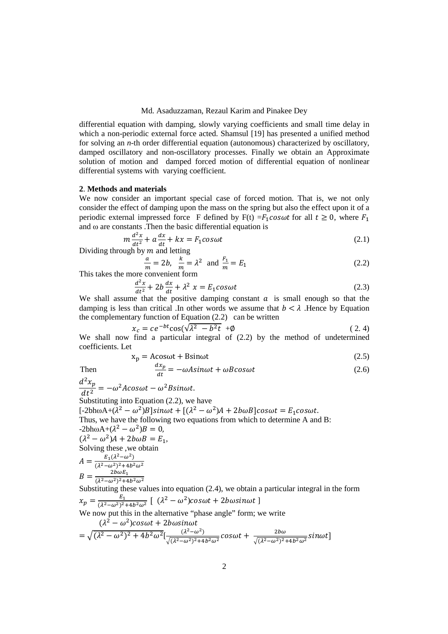#### Md. Asaduzzaman, Rezaul Karim and Pinakee Dey

differential equation with damping, slowly varying coefficients and small time delay in which a non-periodic external force acted. Shamsul [19] has presented a unified method for solving an *n*-th order differential equation (autonomous) characterized by oscillatory, damped oscillatory and non-oscillatory processes. Finally we obtain an Approximate solution of motion and damped forced motion of differential equation of nonlinear differential systems with varying coefficient.

## **2**. **Methods and materials**

We now consider an important special case of forced motion. That is, we not only consider the effect of damping upon the mass on the spring but also the effect upon it of a periodic external impressed force F defined by  $F(t) = F_1 \cos \omega t$  for all  $t \ge 0$ , where  $F_1$ and ω are constants .Then the basic differential equation is

$$
m\frac{d^2x}{dt^2} + a\frac{dx}{dt} + kx = F_1 \cos\omega t
$$
 (2.1)

 $\frac{dt^2}{dt^2}$  at Dividing through by *m* and letting

$$
\frac{a}{m} = 2b, \frac{k}{m} = \lambda^2 \text{ and } \frac{F_1}{m} = E_1
$$
 (2.2)

This takes the more convenient form

$$
\frac{d^2x}{dt^2} + 2b\frac{dx}{dt} + \lambda^2 \ x = E_1 \cos\omega t \tag{2.3}
$$

We shall assume that the positive damping constant *a* is small enough so that the  $\frac{d^2x}{dt^2} + 2b\frac{dx}{dt} + \lambda^2 x = E_1 \cos\omega t$  (2.3) damping is less than critical .In other words we assume that  $b < \lambda$ . Hence by Equation the complementary function of Equation (2.2) can be written

$$
x_c = ce^{-bt}\cos(\sqrt{\lambda^2 - b^2t} + \emptyset)
$$
 (2.4)

We shall now find a particular integral of (2.2) by the method of undetermined coefficients. Let

$$
x_p = A\cos\omega t + B\sin\omega t \tag{2.5}
$$

Then 
$$
\frac{dx_p}{dt} = -\omega A sin \omega t + \omega B cos \omega t
$$
 (2.6)

 $d^2x_p$ 

 $\frac{\partial^2 u}{\partial t^2} = -\omega^2 A \cos \omega t - \omega^2 B \sin \omega t.$ Substituting into Equation (2.2), we have  $[-2b\hbar\omega A + (\lambda^2 - \omega^2)B]sin\omega t + [(\lambda^2 - \omega^2)A + 2b\omega B]cos\omega t = E_1cos\omega t.$ Thus, we have the following two equations from which to determine A and B:  $-2bh\omega A+(\lambda^2-\omega^2)B=0,$  $(\lambda^2 - \omega^2)A + 2b\omega B = E_1,$ Solving these ,we obtain  $A = \frac{E_1(\lambda^2 - \omega^2)}{( \lambda^2 - \omega^2)^2 + 4h^2}$  $(\lambda^2-\omega^2)^2+4b^2\omega^2$  $B = \frac{2b\omega E_1}{(\lambda^2 - \omega^2)^2 + 4b^2\omega^2}$ Substituting these values into equation (2.4), we obtain a particular integral in the form  $x_p = \frac{E_1}{(\lambda^2 - \omega^2)^2}$  $\frac{E_1}{(\lambda^2-\omega^2)^2+4b^2\omega^2}$  [  $(\lambda^2-\omega^2)cos\omega t + 2b\omega sin\omega t$  ] We now put this in the alternative "phase angle" form; we write  $(\lambda^2 - \omega^2) cos \omega t + 2 b \omega sin \omega t$  $= \sqrt{(\lambda^2 - \omega^2)^2 + 4b^2 \omega^2} \left[\frac{(\lambda^2 - \omega^2)}{\sqrt{(\lambda^2 - \omega^2)^2 + 4b^2 \omega^2}}\right]$  $\frac{(\lambda^2-\omega^2)}{\sqrt{(\lambda^2-\omega^2)^2+4b^2\omega^2}}\cos\omega t+\frac{2b\omega}{\sqrt{(\lambda^2-\omega^2)^2}}$  $\sqrt{(\lambda^2-\omega^2)^2+4b^2\omega^2}}$ sin $\omega t$ ]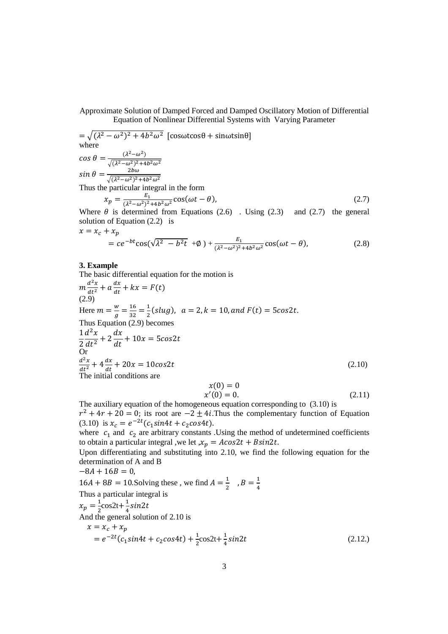Approximate Solution of Damped Forced and Damped Oscillatory Motion of Differential Equation of Nonlinear Differential Systems with Varying Parameter

$$
= \sqrt{(\lambda^2 - \omega^2)^2 + 4b^2 \omega^2} \left[ \cos\omega t \cos\theta + \sin\omega t \sin\theta \right]
$$
  
where  

$$
\cos \theta = \frac{(\lambda^2 - \omega^2)}{\sqrt{(\lambda^2 - \omega^2)^2 + 4b^2 \omega^2}}
$$
  

$$
\sin \theta = \frac{2b\omega}{\sqrt{(\lambda^2 - \omega^2)^2 + 4b^2 \omega^2}}
$$
  
Thus the particular integral in the form  

$$
x_p = \frac{E_1}{(\lambda^2 - \omega^2)^2 + 4b^2 \omega^2} \cos(\omega t - \theta),
$$
 (2.7)

Where  $\theta$  is determined from Equations (2.6). Using (2.3) and (2.7) the general solution of Equation (2.2) is

$$
x = x_c + x_p
$$
  
=  $ce^{-bt}\cos(\sqrt{\lambda^2 - b^2t} + \phi) + \frac{E_1}{(\lambda^2 - \omega^2)^2 + 4b^2\omega^2} \cos(\omega t - \theta),$  (2.8)

## **3. Example**

The basic differential equation for the motion is

$$
m \frac{d^2x}{dt^2} + a \frac{dx}{dt} + kx = F(t)
$$
  
(2.9)  
Here  $m = \frac{w}{g} = \frac{16}{32} = \frac{1}{2} (slug)$ ,  $a = 2, k = 10, and F(t) = 5\cos 2t$ .  
Thus Equation (2.9) becomes  

$$
\frac{1}{2} \frac{d^2x}{dt^2} + 2 \frac{dx}{dt} + 10x = 5\cos 2t
$$
  
Or  

$$
\frac{d^2x}{dt^2} + 4 \frac{dx}{dt} + 20x = 10\cos 2t
$$
  
The initial conditions are

$$
x(0) = 0x'(0) = 0.
$$
 (2.11)

The auxiliary equation of the homogeneous equation corresponding to (3.10) is  $r^2 + 4r + 20 = 0$ ; its root are  $-2 \pm 4i$ . Thus the complementary function of Equation (3.10) is  $x_c = e^{-2t} (c_1 \sin 4t + c_2 \cos 4t)$ .

where  $c_1$  and  $c_2$  are arbitrary constants . Using the method of undetermined coefficients to obtain a particular integral ,we let  $x_p = A\cos 2t + B\sin 2t$ .

Upon differentiating and substituting into 2.10, we find the following equation for the determination of A and B

 $-8A + 16B = 0$ ,

 $16A + 8B = 10$ . Solving these, we find  $A = \frac{1}{2}$ ,  $B = \frac{1}{4}$ Thus a particular integral is

$$
x_p = \frac{1}{2}\cos 2t + \frac{1}{4}\sin 2t
$$
  
And the general solution of 2.10 is

 $x = x_c + x_p$  $= e^{-2t} (c_1 \sin 4t + c_2 \cos 4t) + \frac{1}{2} \cos 2t + \frac{1}{4} \sin 2t$  (2.12.)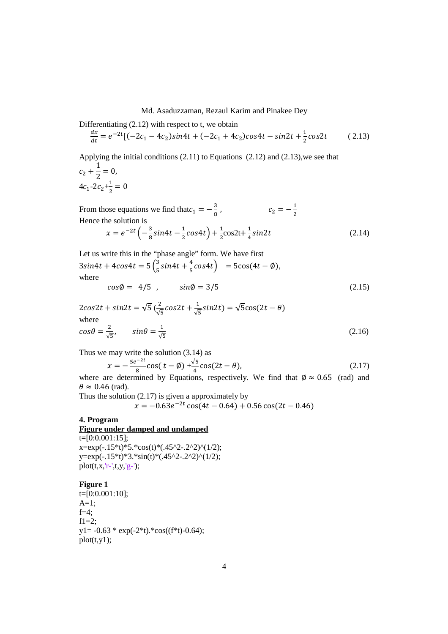## Md. Asaduzzaman, Rezaul Karim and Pinakee Dey

Differentiating (2.12) with respect to t, we obtain

$$
\frac{dx}{dt} = e^{-2t} [(-2c_1 - 4c_2)sin4t + (-2c_1 + 4c_2)cos4t - sin2t + \frac{1}{2}cos2t \tag{2.13}
$$

Applying the initial conditions (2.11) to Equations (2.12) and (2.13),we see that

$$
c_2 + \frac{1}{2} = 0,
$$
  
 
$$
4c_1 - 2c_2 + \frac{1}{2} = 0
$$

From those equations we find that  $c_1 = -\frac{3}{8}$ W ,  $c_2 = -\frac{1}{2}$ Hence the solution is

$$
x = e^{-2t} \left( -\frac{3}{8} \sin 4t - \frac{1}{2} \cos 4t \right) + \frac{1}{2} \cos 2t + \frac{1}{4} \sin 2t \tag{2.14}
$$

Let us write this in the "phase angle" form. We have first  $3sin4t + 4cos4t = 5\left(\frac{3}{5}\right)$  $\frac{3}{5}$ sin4t +  $\frac{4}{5}$ cos4t) = 5cos(4t – Ø), where  $cos\phi = 4/5$ ,  $sin\phi = 3/5$  (2.15)

$$
2\cos 2t + \sin 2t = \sqrt{5} \left( \frac{2}{\sqrt{5}} \cos 2t + \frac{1}{\sqrt{5}} \sin 2t \right) = \sqrt{5} \cos (2t - \theta)
$$
  
where  

$$
\cos \theta = \frac{2}{\sqrt{5}}, \qquad \sin \theta = \frac{1}{\sqrt{5}}
$$
 (2.16)

Thus we may write the solution (3.14) as

$$
x = -\frac{5e^{-2t}}{8}\cos(t - \phi) + \frac{\sqrt{5}}{4}\cos(2t - \theta),\tag{2.17}
$$

where are determined by Equations, respectively. We find that  $\phi \approx 0.65$  (rad) and  $\theta \approx 0.46$  (rad).

Thus the solution (2.17) is given a approximately by

$$
x = -0.63e^{-2t}\cos(4t - 0.64) + 0.56\cos(2t - 0.46)
$$

# **4. Program**

## **Figure under damped and undamped**

 $t=[0:0.001:15];$  $x=exp(-.15*t)*5.*cos(t)*(0.45^2-0.2^2)^(1/2);$ y=exp(-.15\*t)\*3.\*sin(t)\*(.45^2-.2^2)^(1/2); plot(t,x,'r-',t,y,'g-');

**Figure 1** 

t=[0:0.001:10];  $A=1;$  $f=4$ ;  $f1=2$ :  $y1 = -0.63 * exp(-2*t). *cos((f*t)-0.64);$  $plot(t,y1);$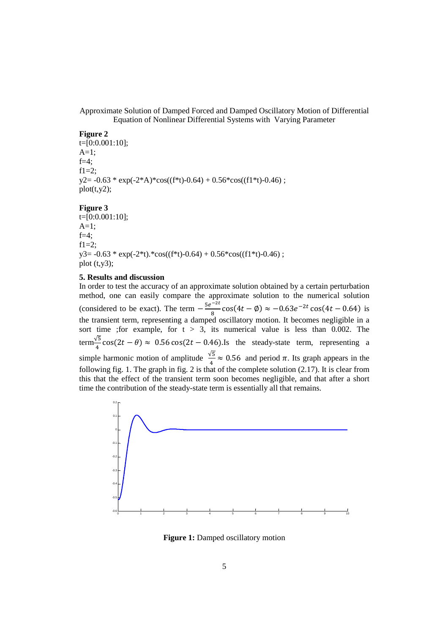Approximate Solution of Damped Forced and Damped Oscillatory Motion of Differential Equation of Nonlinear Differential Systems with Varying Parameter

#### **Figure 2**

t=[0:0.001:10];  $A=1$ ;  $f=4$ :  $f1=2$ :  $y2 = -0.63 * exp(-2*A)*cos((f*t)-0.64) + 0.56 * cos((f1*t)-0.46)$ ;  $plot(t,y2);$ 

#### **Figure 3**

 $t=[0:0.001:10];$  $A=1$ ;  $f=4$ :  $f1=2$ :  $y3 = -0.63 * exp(-2*t).*cos((f*t)-0.64) + 0.56*cos((f1*t)-0.46)$ ; plot  $(t,y3)$ ;

## **5. Results and discussion**

In order to test the accuracy of an approximate solution obtained by a certain perturbation method, one can easily compare the approximate solution to the numerical solution (considered to be exact). The term  $-\frac{5e^{-2t}}{8}$  $\frac{1}{8}$  cos(4*t* –  $\phi$ ) ≈ –0.63*e*<sup>-2*t*</sup> cos(4*t* – 0.64) is the transient term, representing a damped oscillatory motion. It becomes negligible in a sort time ; for example, for  $t > 3$ , its numerical value is less than 0.002. The term $\frac{\sqrt{5}}{4}$ cos(2*t* −  $\theta$ ) ≈ 0.56 cos(2*t* − 0.46).Is the steady-state term, representing a simple harmonic motion of amplitude  $\frac{\sqrt{5}}{4} \approx 0.56$  and period  $\pi$ . Its graph appears in the following fig. 1. The graph in fig. 2 is that of the complete solution  $(2.17)$ . It is clear from this that the effect of the transient term soon becomes negligible, and that after a short time the contribution of the steady-state term is essentially all that remains.



**Figure 1:** Damped oscillatory motion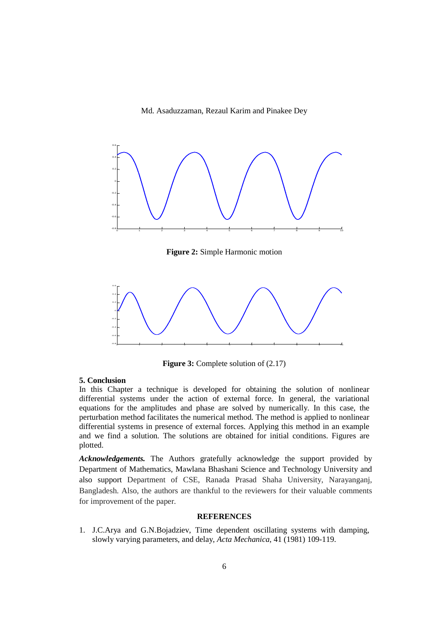#### Md. Asaduzzaman, Rezaul Karim and Pinakee Dey



**Figure 2:** Simple Harmonic motion



**Figure 3:** Complete solution of  $(2.17)$ 

#### **5. Conclusion**

In this Chapter a technique is developed for obtaining the solution of nonlinear differential systems under the action of external force. In general, the variational equations for the amplitudes and phase are solved by numerically. In this case, the perturbation method facilitates the numerical method. The method is applied to nonlinear differential systems in presence of external forces. Applying this method in an example and we find a solution. The solutions are obtained for initial conditions. Figures are plotted.

*Acknowledgements.* The Authors gratefully acknowledge the support provided by Department of Mathematics, Mawlana Bhashani Science and Technology University and also support Department of CSE, Ranada Prasad Shaha University, Narayanganj, Bangladesh. Also, the authors are thankful to the reviewers for their valuable comments for improvement of the paper.

## **REFERENCES**

1. J.C.Arya and G.N.Bojadziev, Time dependent oscillating systems with damping, slowly varying parameters, and delay, *Acta Mechanica*, 41 (1981) 109-119.